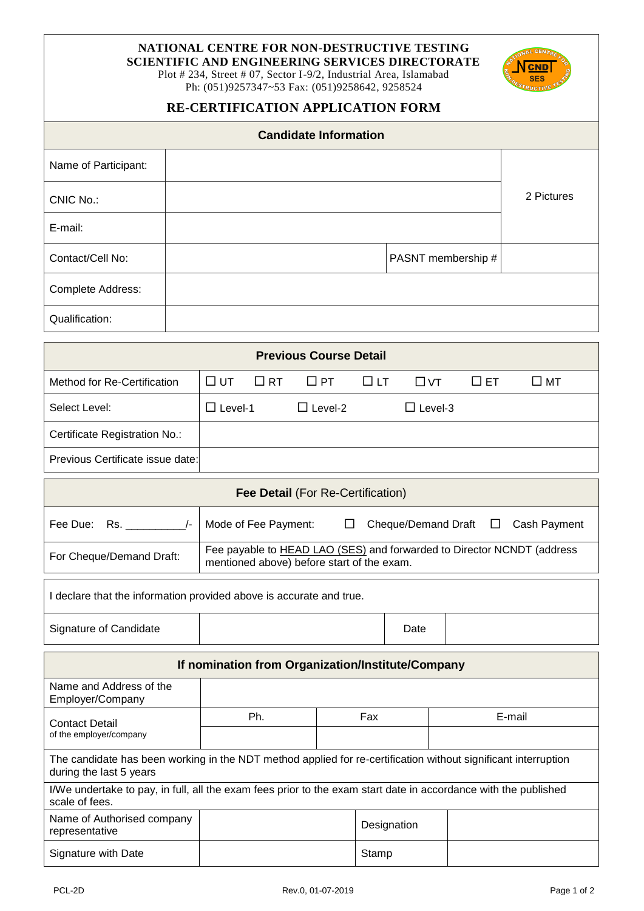## **NATIONAL CENTRE FOR NON-DESTRUCTIVE TESTING**

**SCIENTIFIC AND ENGINEERING SERVICES DIRECTORATE**

Plot # 234, Street # 07, Sector I-9/2, Industrial Area, Islamabad Ph: (051)9257347~53 Fax: (051)9258642, 9258524



### **RE-CERTIFICATION APPLICATION FORM**

| <b>Candidate Information</b> |                    |            |  |  |  |
|------------------------------|--------------------|------------|--|--|--|
| Name of Participant:         |                    |            |  |  |  |
| CNIC No.:                    |                    | 2 Pictures |  |  |  |
| E-mail:                      |                    |            |  |  |  |
| Contact/Cell No:             | PASNT membership # |            |  |  |  |
| Complete Address:            |                    |            |  |  |  |
| Qualification:               |                    |            |  |  |  |

| <b>Previous Course Detail</b>    |                |  |                                                   |  |                |           |              |  |
|----------------------------------|----------------|--|---------------------------------------------------|--|----------------|-----------|--------------|--|
| Method for Re-Certification      |                |  | $\Box$ ut $\Box$ RT $\Box$ PT $\Box$ LT $\Box$ VT |  |                | $\Box$ ET | $\square$ MT |  |
| Select Level:                    | $\Box$ Level-1 |  | $\Box$ Level-2                                    |  | $\Box$ Level-3 |           |              |  |
| Certificate Registration No.:    |                |  |                                                   |  |                |           |              |  |
| Previous Certificate issue date: |                |  |                                                   |  |                |           |              |  |

| <b>Fee Detail (For Re-Certification)</b>                          |                                                                                                                      |  |  |  |  |
|-------------------------------------------------------------------|----------------------------------------------------------------------------------------------------------------------|--|--|--|--|
| Fee Due: Rs.                                                      | Mode of Fee Payment:<br>Cheque/Demand Draft<br>Cash Payment<br>$\perp$<br>- LI                                       |  |  |  |  |
| For Cheque/Demand Draft:                                          | Fee payable to HEAD LAO (SES) and forwarded to Director NCNDT (address<br>mentioned above) before start of the exam. |  |  |  |  |
| declare that the information provided above is accurate and true. |                                                                                                                      |  |  |  |  |

Signature of Candidate **Date** Date

**If nomination from Organization/Institute/Company**

| Name and Address of the<br>Employer/Company                                                                                               |     |             |        |  |  |  |
|-------------------------------------------------------------------------------------------------------------------------------------------|-----|-------------|--------|--|--|--|
| <b>Contact Detail</b><br>of the employer/company                                                                                          | Ph. | Fax         | E-mail |  |  |  |
|                                                                                                                                           |     |             |        |  |  |  |
| The candidate has been working in the NDT method applied for re-certification without significant interruption<br>during the last 5 years |     |             |        |  |  |  |
| I/We undertake to pay, in full, all the exam fees prior to the exam start date in accordance with the published<br>scale of fees.         |     |             |        |  |  |  |
| Name of Authorised company<br>representative                                                                                              |     | Designation |        |  |  |  |
| Signature with Date                                                                                                                       |     | Stamp       |        |  |  |  |